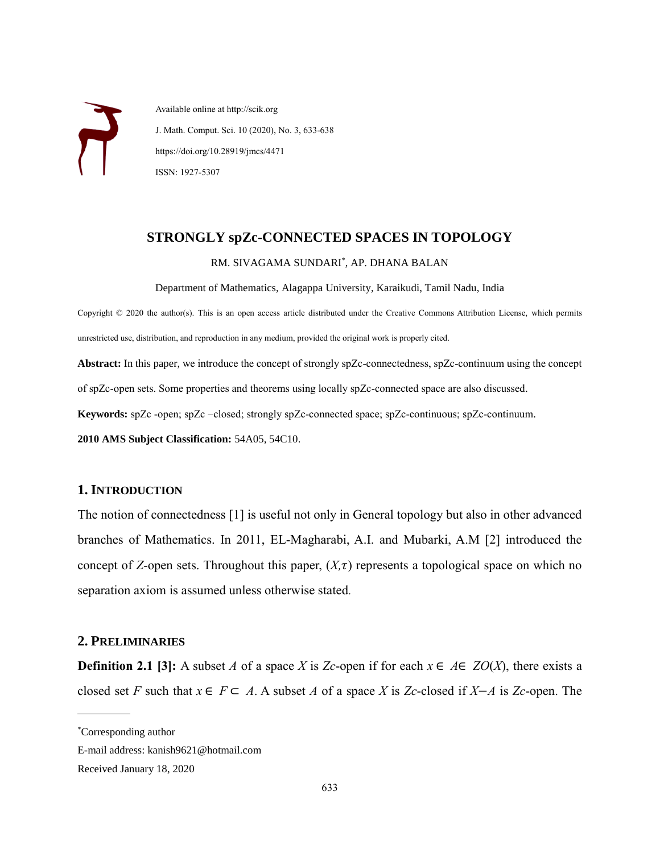Available online at http://scik.org J. Math. Comput. Sci. 10 (2020), No. 3, 633-638 https://doi.org/10.28919/jmcs/4471 ISSN: 1927-5307

# **STRONGLY spZc-CONNECTED SPACES IN TOPOLOGY**

#### RM. SIVAGAMA SUNDARI\* , AP. DHANA BALAN

Department of Mathematics, Alagappa University, Karaikudi, Tamil Nadu, India

Copyright © 2020 the author(s). This is an open access article distributed under the Creative Commons Attribution License, which permits unrestricted use, distribution, and reproduction in any medium, provided the original work is properly cited.

**Abstract:** In this paper, we introduce the concept of strongly spZc-connectedness, spZc-continuum using the concept of spZc-open sets. Some properties and theorems using locally spZc-connected space are also discussed. **Keywords:** spZc -open; spZc –closed; strongly spZc-connected space; spZc-continuous; spZc-continuum. **2010 AMS Subject Classification:** 54A05, 54C10.

### **1. INTRODUCTION**

The notion of connectedness [1] is useful not only in General topology but also in other advanced branches of Mathematics. In 2011, EL-Magharabi, A.I. and Mubarki, A.M [2] introduced the concept of *Z*-open sets. Throughout this paper,  $(X,\tau)$  represents a topological space on which no separation axiom is assumed unless otherwise stated.

# **2. PRELIMINARIES**

**Definition 2.1 [3]:** A subset *A* of a space *X* is *Zc*-open if for each  $x \in A \in ZO(X)$ , there exists a closed set *F* such that  $x \in F \subset A$ . A subset *A* of a space *X* is *Zc*-closed if *X*−*A* is *Zc*-open. The

 $\overline{a}$ 

<sup>\*</sup>Corresponding author

E-mail address: kanish9621@hotmail.com

Received January 18, 2020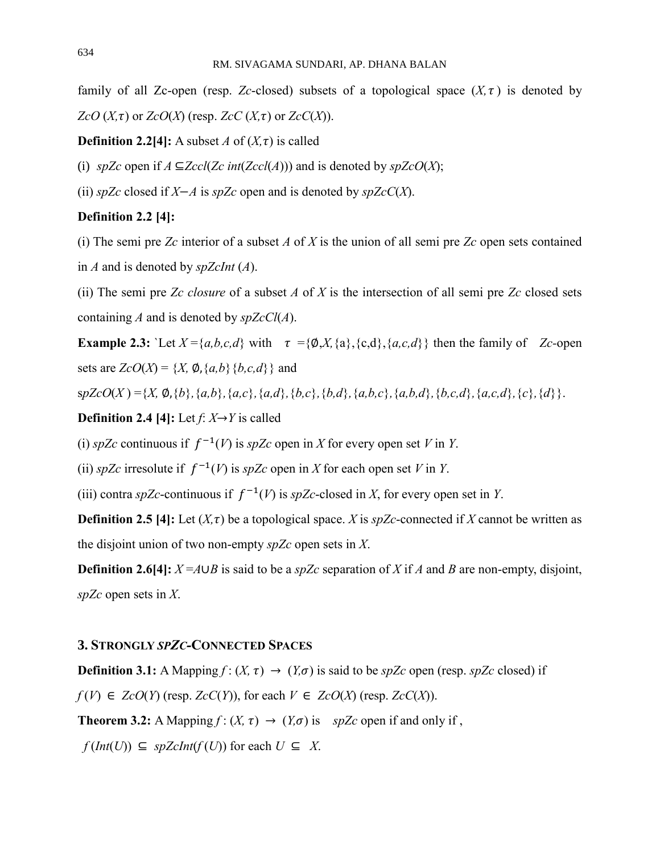family of all Zc-open (resp. *Zc*-closed) subsets of a topological space  $(X, \tau)$  is denoted by *ZcO*  $(X, \tau)$  or *ZcO* $(X)$  (resp. *ZcC* $(X, \tau)$  or *ZcC* $(X)$ ).

#### **Definition 2.2[4]:** A subset *A* of  $(X, \tau)$  is called

(i) *spZc* open if *A* ⊆*Zccl*(*Zc int*(*Zccl*(*A*))) and is denoted by *spZcO*(*X*);

(ii) *spZc* closed if *X*−*A* is *spZc* open and is denoted by *spZcC*(*X*).

# **Definition 2.2 [4]:**

(i) The semi pre *Zc* interior of a subset *A* of *X* is the union of all semi pre *Zc* open sets contained in *A* and is denoted by *spZcInt* (*A*).

(ii) The semi pre *Zc closure* of a subset *A* of *X* is the intersection of all semi pre *Zc* closed sets containing *A* and is denoted by *spZcCl*(*A*).

**Example 2.3:** `Let  $X = \{a,b,c,d\}$  with  $\tau = \{\emptyset, X, \{a\}, \{c,d\}, \{a,c,d\}\}\$  then the family of *Zc*-open sets are  $ZcO(X) = \{X, \emptyset, \{a,b\}\}\{b,c,d\}$  and

 $spZcO(X) = \{X, \emptyset, \{b\}, \{a,b\}, \{a,c\}, \{a,d\}, \{b,c\}, \{b,d\}, \{a,b,c\}, \{a,b,d\}, \{b,c,d\}, \{a,c,d\}, \{c\}, \{d\}\}.$ 

**Definition 2.4 [4]:** Let  $f: X \rightarrow Y$  is called

(i) *spZc* continuous if  $f^{-1}(V)$  is *spZc* open in *X* for every open set *V* in *Y*.

(ii) *spZc* irresolute if  $f^{-1}(V)$  is *spZc* open in *X* for each open set *V* in *Y*.

(iii) contra *spZc*-continuous if  $f^{-1}(V)$  is *spZc*-closed in *X*, for every open set in *Y*.

**Definition 2.5 [4]:** Let  $(X, \tau)$  be a topological space. *X* is *spZc*-connected if *X* cannot be written as the disjoint union of two non-empty *spZc* open sets in *X*.

**Definition 2.6[4]:**  $X = A \cup B$  is said to be a *spZc* separation of *X* if *A* and *B* are non-empty, disjoint, *spZc* open sets in *X*.

# **3. STRONGLY** *SPZC-***CONNECTED SPACES**

**Definition 3.1:** A Mapping  $f: (X, \tau) \to (Y, \sigma)$  is said to be *spZc* open (resp. *spZc* closed) if *f* (*V*) ∈ *ZcO*(*Y*) (resp. *ZcC*(*Y*)), for each  $V$  ∈ *ZcO*(*X*) (resp. *ZcC*(*X*)). **Theorem 3.2:** A Mapping  $f: (X, \tau) \to (Y, \sigma)$  is *spZc* open if and only if,  $f(Int(U)) \subseteq spZclnt(f(U))$  for each  $U \subseteq X$ .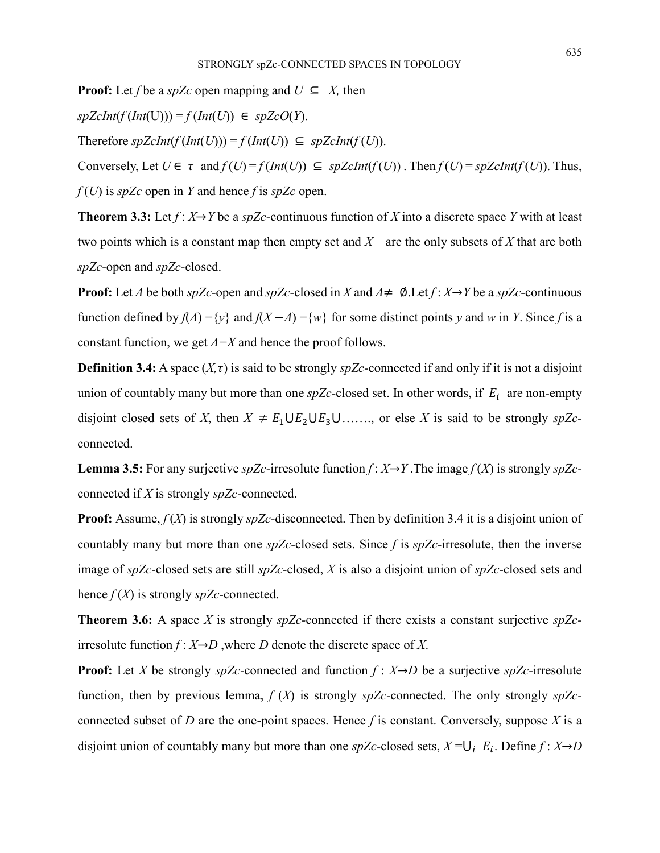$spZclnt(f(Int(U))) = f(Int(U)) \in spZcO(Y).$ 

Therefore  $spZclnt(f(int(U))) = f(int(U)) \subseteq spZclnt(f(U)).$ 

**Proof:** Let *f* be a *spZc* open mapping and  $U \subseteq X$ , then

Conversely, Let  $U \in \tau$  and  $f(U) = f(int(U)) \subseteq spZclnt(f(U))$ . Then  $f(U) = spZclnt(f(U))$ . Thus, *f* (*U*) is *spZc* open in *Y* and hence *f* is *spZc* open.

**Theorem 3.3:** Let  $f: X \rightarrow Y$  be a *spZc*-continuous function of *X* into a discrete space *Y* with at least two points which is a constant map then empty set and *X* are the only subsets of *X* that are both *spZc-*open and *spZc-*closed.

**Proof:** Let *A* be both *spZc*-open and *spZc*-closed in *X* and  $A \neq \emptyset$ . Let  $f: X \rightarrow Y$  be a *spZc*-continuous function defined by  $f(A) = \{y\}$  and  $f(X - A) = \{w\}$  for some distinct points *y* and *w* in *Y*. Since *f* is a constant function, we get *A=X* and hence the proof follows.

**Definition 3.4:** A space  $(X, \tau)$  is said to be strongly *spZc*-connected if and only if it is not a disjoint union of countably many but more than one  $spZc$ -closed set. In other words, if  $E<sub>i</sub>$  are non-empty disjoint closed sets of *X*, then  $X \neq E_1 \cup E_2 \cup E_3 \cup \ldots$ , or else *X* is said to be strongly *spZc*connected.

**Lemma 3.5:** For any surjective *spZc*-irresolute function  $f: X \rightarrow Y$ . The image  $f(X)$  is strongly *spZc*connected if *X* is strongly *spZc-*connected.

**Proof:** Assume,  $f(X)$  is strongly *spZc*-disconnected. Then by definition 3.4 it is a disjoint union of countably many but more than one *spZc-*closed sets. Since *f* is *spZc-*irresolute, then the inverse image of *spZc-*closed sets are still *spZc-*closed, *X* is also a disjoint union of *spZc-*closed sets and hence  $f(X)$  is strongly *spZc*-connected.

**Theorem 3.6:** A space *X* is strongly *spZc-*connected if there exists a constant surjective *spZc*irresolute function  $f: X \rightarrow D$ , where *D* denote the discrete space of *X*.

**Proof:** Let *X* be strongly *spZc-*connected and function *f* : *X*→*D* be a surjective *spZc-*irresolute function, then by previous lemma, *f* (*X*) is strongly *spZc-*connected. The only strongly *spZc*connected subset of *D* are the one-point spaces. Hence  $f$  is constant. Conversely, suppose  $X$  is a disjoint union of countably many but more than one *spZc*-closed sets,  $X = \bigcup_i E_i$ . Define  $f : X \rightarrow D$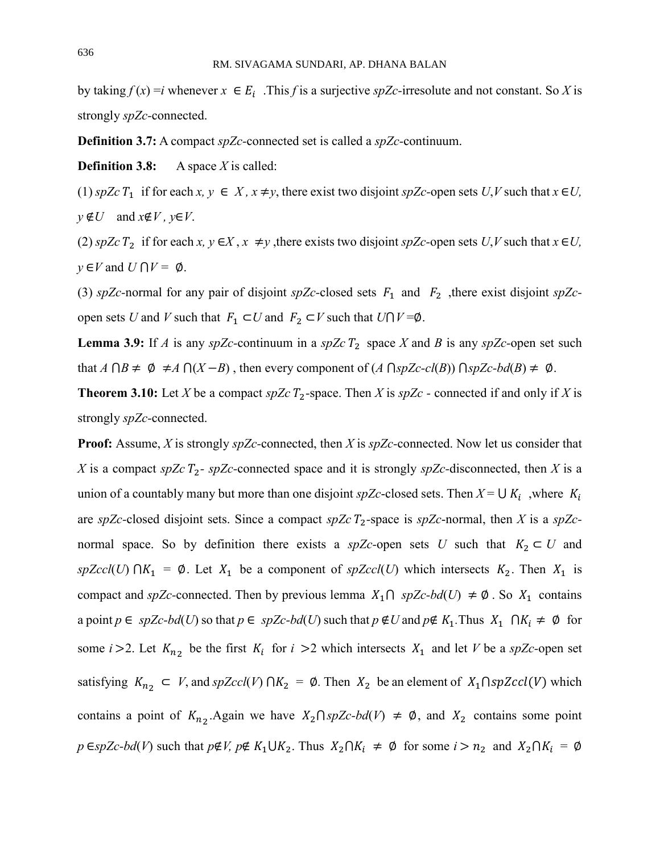by taking  $f(x) = i$  whenever  $x \in E_i$ . This *f* is a surjective *spZc*-irresolute and not constant. So *X* is strongly *spZc-*connected.

**Definition 3.7:** A compact *spZc-*connected set is called a *spZc-*continuum.

**Definition 3.8:** A space *X* is called:

(1) *spZc*  $T_1$  if for each  $x, y \in X$ ,  $x \neq y$ , there exist two disjoint *spZc*-open sets *U*,*V* such that  $x \in U$ , *y* ∉*U* and *x*∉*V , y*∈*V*.

(2) *spZc*  $T_2$  if for each  $x, y \in X, x \neq y$ , there exists two disjoint *spZc*-open sets *U*,*V* such that  $x \in U$ ,  $y \in V$  and  $U \cap V = \emptyset$ .

(3) *spZc*-normal for any pair of disjoint *spZc*-closed sets  $F_1$  and  $F_2$ , there exist disjoint *spZc*open sets *U* and *V* such that  $F_1 \subset U$  and  $F_2 \subset V$  such that  $U \cap V = \emptyset$ .

**Lemma 3.9:** If *A* is any *spZc*-continuum in a *spZc*  $T_2$  space *X* and *B* is any *spZc*-open set such that  $A \cap B \neq \emptyset \neq A \cap (X - B)$ , then every component of  $(A \cap spZc-cl(B)) \cap spZc-bd(B) \neq \emptyset$ .

**Theorem 3.10:** Let *X* be a compact *spZc*  $T_2$ -space. Then *X* is *spZc* - connected if and only if *X* is strongly *spZc-*connected.

**Proof:** Assume, *X* is strongly *spZc-*connected, then *X* is *spZc-*connected. Now let us consider that *X* is a compact *spZc*  $T_2$ - *spZc*-connected space and it is strongly *spZc*-disconnected, then *X* is a union of a countably many but more than one disjoint *spZc*-closed sets. Then  $X = \bigcup K_i$ , where  $K_i$ are *spZc*-closed disjoint sets. Since a compact *spZc*  $T_2$ -space is *spZc*-normal, then *X* is a *spZc*normal space. So by definition there exists a *spZc*-open sets *U* such that  $K_2 \subset U$  and *spZccl*(*U*)  $\cap$   $K_1$  =  $\emptyset$ . Let  $X_1$  be a component of *spZccl*(*U*) which intersects  $K_2$ . Then  $X_1$  is compact and *spZc*-connected. Then by previous lemma  $X_1 \cap spZc-bd(U) \neq \emptyset$ . So  $X_1$  contains a point  $p \in spZc-bd(U)$  so that  $p \in spZc-bd(U)$  such that  $p \notin U$  and  $p \notin K_1$ . Thus  $X_1 \cap K_i \neq \emptyset$  for some *i* > 2. Let  $K_{n_2}$  be the first  $K_i$  for *i* > 2 which intersects  $X_1$  and let *V* be a *spZc*-open set satisfying  $K_{n_2} \subset V$ , and  $spZccl(V) \cap K_2 = \emptyset$ . Then  $X_2$  be an element of  $X_1 \cap spZccl(V)$  which contains a point of  $K_{n_2}$ . Again we have  $X_2 \cap spZc-bd(V) \neq \emptyset$ , and  $X_2$  contains some point *p* ∈*spZc-bd*(*V*) such that  $p \notin V$ ,  $p \notin K_1 \cup K_2$ . Thus  $X_2 \cap K_i \neq \emptyset$  for some  $i > n_2$  and  $X_2 \cap K_i = \emptyset$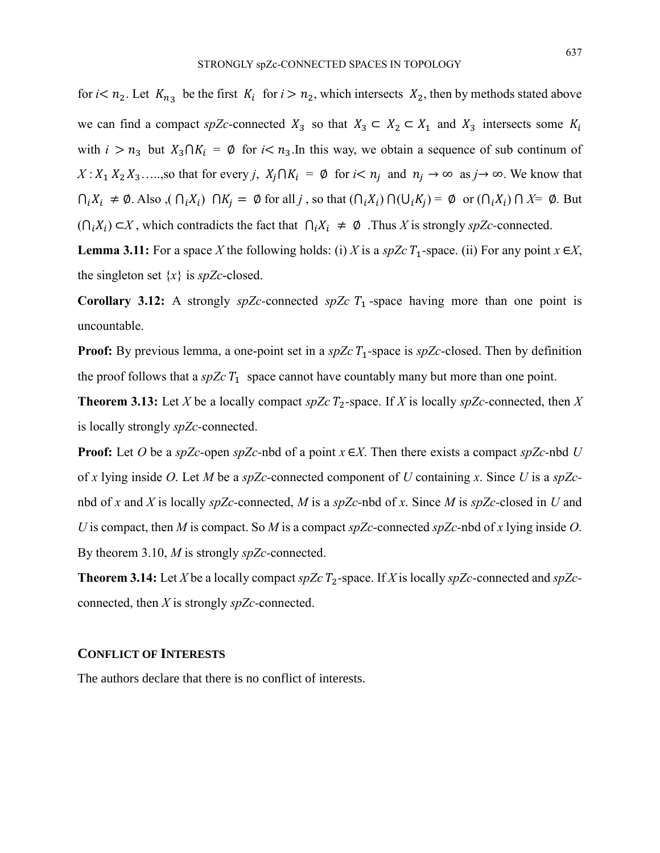for  $i < n_2$ . Let  $K_{n_3}$  be the first  $K_i$  for  $i > n_2$ , which intersects  $X_2$ , then by methods stated above we can find a compact *spZc*-connected  $X_3$  so that  $X_3 \subset X_2 \subset X_1$  and  $X_3$  intersects some  $K_i$ with  $i > n_3$  but  $X_3 \cap K_i = \emptyset$  for  $i < n_3$ . In this way, we obtain a sequence of sub continum of  $X: X_1 X_2 X_3 \ldots$ , so that for every *j*,  $X_i \cap K_i = \emptyset$  for  $i < n_j$  and  $n_j \to \infty$  as  $j \to \infty$ . We know that  $\bigcap_i X_i \neq \emptyset$ . Also,  $(\bigcap_i X_i) \cap K_j = \emptyset$  for all *j*, so that  $(\bigcap_i X_i) \cap (\bigcup_i K_j) = \emptyset$  or  $(\bigcap_i X_i) \cap X = \emptyset$ . But  $(∩<sub>i</sub>X<sub>i</sub>) ⊂ X$ , which contradicts the fact that  $∩<sub>i</sub>X<sub>i</sub> ≠ ∅$ . Thus *X* is strongly *spZc*-connected.

**Lemma 3.11:** For a space *X* the following holds: (i) *X* is a *spZc*  $T_1$ -space. (ii) For any point  $x \in X$ , the singleton set {*x*} is *spZc*-closed.

**Corollary 3.12:** A strongly  $spZc$ -connected  $spZc$   $T_1$ -space having more than one point is uncountable.

**Proof:** By previous lemma, a one-point set in a  $spZcT_1$ -space is  $spZc$ -closed. Then by definition the proof follows that a  $spZcT_1$  space cannot have countably many but more than one point.

**Theorem 3.13:** Let *X* be a locally compact *spZc*  $T_2$ -space. If *X* is locally *spZc*-connected, then *X* is locally strongly *spZc-*connected.

**Proof:** Let *O* be a *spZc-*open *spZc-*nbd of a point *x* ∈*X*. Then there exists a compact *spZc-*nbd *U*  of *x* lying inside *O*. Let *M* be a *spZc-*connected component of *U* containing *x*. Since *U* is a *spZc*nbd of *x* and *X* is locally *spZc-*connected, *M* is a *spZc-*nbd of *x*. Since *M* is *spZc-*closed in *U* and *U* is compact, then *M* is compact. So *M* is a compact *spZc-*connected *spZc-*nbd of *x* lying inside *O*. By theorem 3.10, *M* is strongly *spZc-*connected.

**Theorem 3.14:** Let *X* be a locally compact *spZc*  $T_2$ -space. If *X* is locally *spZc*-connected and *spZc*connected, then *X* is strongly *spZc-*connected.

#### **CONFLICT OF INTERESTS**

The authors declare that there is no conflict of interests.